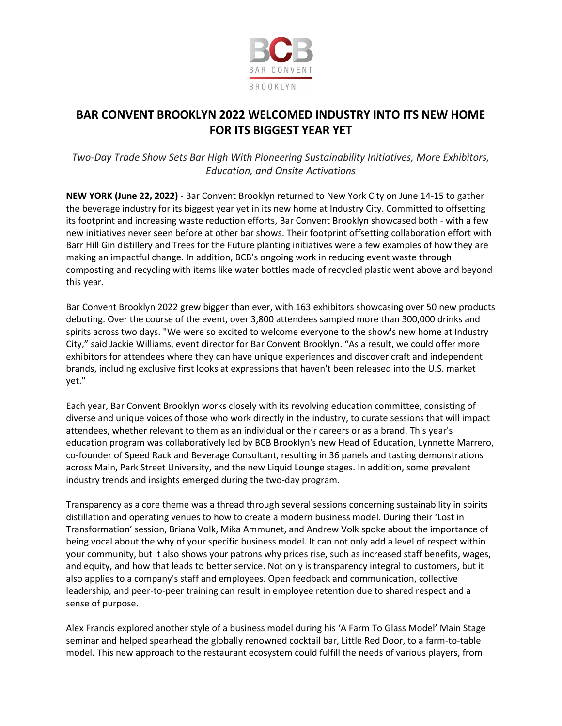

## **BAR CONVENT BROOKLYN 2022 WELCOMED INDUSTRY INTO ITS NEW HOME FOR ITS BIGGEST YEAR YET**

*Two-Day Trade Show Sets Bar High With Pioneering Sustainability Initiatives, More Exhibitors, Education, and Onsite Activations*

**NEW YORK (June 22, 2022)** - Bar Convent Brooklyn returned to New York City on June 14-15 to gather the beverage industry for its biggest year yet in its new home at Industry City. Committed to offsetting its footprint and increasing waste reduction efforts, Bar Convent Brooklyn showcased both - with a few new initiatives never seen before at other bar shows. Their footprint offsetting collaboration effort with Barr Hill Gin distillery and Trees for the Future planting initiatives were a few examples of how they are making an impactful change. In addition, BCB's ongoing work in reducing event waste through composting and recycling with items like water bottles made of recycled plastic went above and beyond this year.

Bar Convent Brooklyn 2022 grew bigger than ever, with 163 exhibitors showcasing over 50 new products debuting. Over the course of the event, over 3,800 attendees sampled more than 300,000 drinks and spirits across two days. "We were so excited to welcome everyone to the show's new home at Industry City," said Jackie Williams, event director for Bar Convent Brooklyn. "As a result, we could offer more exhibitors for attendees where they can have unique experiences and discover craft and independent brands, including exclusive first looks at expressions that haven't been released into the U.S. market yet."

Each year, Bar Convent Brooklyn works closely with its revolving education committee, consisting of diverse and unique voices of those who work directly in the industry, to curate sessions that will impact attendees, whether relevant to them as an individual or their careers or as a brand. This year's education program was collaboratively led by BCB Brooklyn's new Head of Education, Lynnette Marrero, co-founder of Speed Rack and Beverage Consultant, resulting in 36 panels and tasting demonstrations across Main, Park Street University, and the new Liquid Lounge stages. In addition, some prevalent industry trends and insights emerged during the two-day program.

Transparency as a core theme was a thread through several sessions concerning sustainability in spirits distillation and operating venues to how to create a modern business model. During their 'Lost in Transformation' session, Briana Volk, Mika Ammunet, and Andrew Volk spoke about the importance of being vocal about the why of your specific business model. It can not only add a level of respect within your community, but it also shows your patrons why prices rise, such as increased staff benefits, wages, and equity, and how that leads to better service. Not only is transparency integral to customers, but it also applies to a company's staff and employees. Open feedback and communication, collective leadership, and peer-to-peer training can result in employee retention due to shared respect and a sense of purpose.

Alex Francis explored another style of a business model during his 'A Farm To Glass Model' Main Stage seminar and helped spearhead the globally renowned cocktail bar, Little Red Door, to a farm-to-table model. This new approach to the restaurant ecosystem could fulfill the needs of various players, from